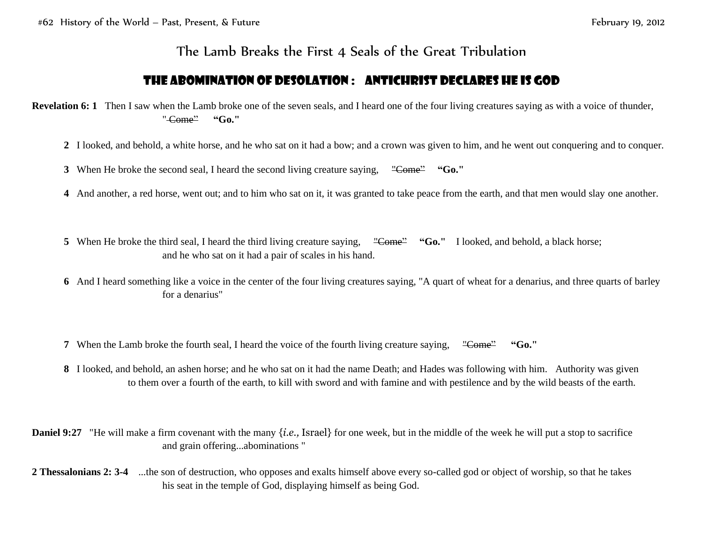## The Lamb Breaks the First 4 Seals of the Great Tribulation

## The Abomination of Desolation : Antichrist Declares He is God

**Revelation 6:** 1 Then I saw when the Lamb broke one of the seven seals, and I heard one of the four living creatures saying as with a voice of thunder, " Come" **"Go."**

- **2** I looked, and behold, a white horse, and he who sat on it had a bow; and a crown was given to him, and he went out conquering and to conquer.
- **3** When He broke the second seal, I heard the second living creature saying, "Come" "Go."
- **4** And another, a red horse, went out; and to him who sat on it, it was granted to take peace from the earth, and that men would slay one another.
- **5** When He broke the third seal, I heard the third living creature saying, "Come" "Go." I looked, and behold, a black horse; and he who sat on it had a pair of scales in his hand.
- **6** And I heard something like a voice in the center of the four living creatures saying, "A quart of wheat for a denarius, and three quarts of barley for a denarius"
- **7** When the Lamb broke the fourth seal, I heard the voice of the fourth living creature saying, "Come" "Go."
- **8** I looked, and behold, an ashen horse; and he who sat on it had the name Death; and Hades was following with him. Authority was given to them over a fourth of the earth, to kill with sword and with famine and with pestilence and by the wild beasts of the earth.
- **Daniel 9:27** "He will make a firm covenant with the many {*i.e.*, Israel} for one week, but in the middle of the week he will put a stop to sacrifice and grain offering...abominations "
- **2 Thessalonians 2: 3-4** ...the son of destruction, who opposes and exalts himself above every so-called god or object of worship, so that he takes his seat in the temple of God, displaying himself as being God.